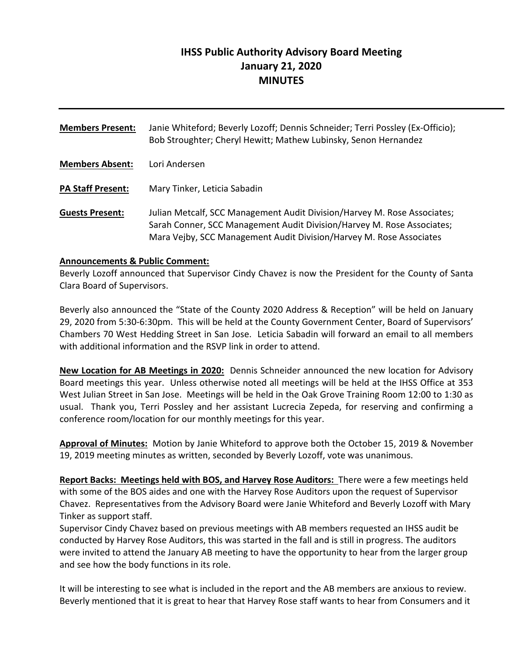# **IHSS Public Authority Advisory Board Meeting January 21, 2020 MINUTES**

**Members Present:** Janie Whiteford; Beverly Lozoff; Dennis Schneider; Terri Possley (Ex‐Officio); Bob Stroughter; Cheryl Hewitt; Mathew Lubinsky, Senon Hernandez **Members Absent:** Lori Andersen **PA Staff Present:** Mary Tinker, Leticia Sabadin **Guests Present:** Julian Metcalf, SCC Management Audit Division/Harvey M. Rose Associates; Sarah Conner, SCC Management Audit Division/Harvey M. Rose Associates; Mara Vejby, SCC Management Audit Division/Harvey M. Rose Associates

#### **Announcements & Public Comment:**

Beverly Lozoff announced that Supervisor Cindy Chavez is now the President for the County of Santa Clara Board of Supervisors.

Beverly also announced the "State of the County 2020 Address & Reception" will be held on January 29, 2020 from 5:30‐6:30pm. This will be held at the County Government Center, Board of Supervisors' Chambers 70 West Hedding Street in San Jose. Leticia Sabadin will forward an email to all members with additional information and the RSVP link in order to attend.

**New Location for AB Meetings in 2020:** Dennis Schneider announced the new location for Advisory Board meetings this year. Unless otherwise noted all meetings will be held at the IHSS Office at 353 West Julian Street in San Jose. Meetings will be held in the Oak Grove Training Room 12:00 to 1:30 as usual. Thank you, Terri Possley and her assistant Lucrecia Zepeda, for reserving and confirming a conference room/location for our monthly meetings for this year.

**Approval of Minutes:** Motion by Janie Whiteford to approve both the October 15, 2019 & November 19, 2019 meeting minutes as written, seconded by Beverly Lozoff, vote was unanimous.

**Report Backs: Meetings held with BOS, and Harvey Rose Auditors:** There were a few meetings held with some of the BOS aides and one with the Harvey Rose Auditors upon the request of Supervisor Chavez. Representatives from the Advisory Board were Janie Whiteford and Beverly Lozoff with Mary Tinker as support staff.

Supervisor Cindy Chavez based on previous meetings with AB members requested an IHSS audit be conducted by Harvey Rose Auditors, this was started in the fall and is still in progress. The auditors were invited to attend the January AB meeting to have the opportunity to hear from the larger group and see how the body functions in its role.

It will be interesting to see what is included in the report and the AB members are anxious to review. Beverly mentioned that it is great to hear that Harvey Rose staff wants to hear from Consumers and it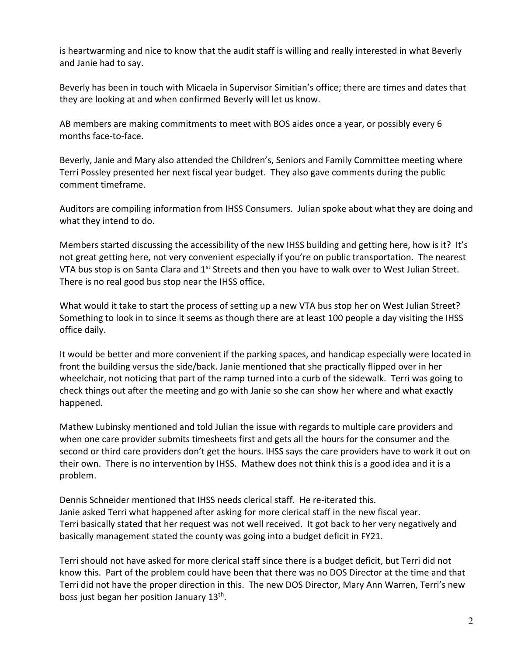is heartwarming and nice to know that the audit staff is willing and really interested in what Beverly and Janie had to say.

Beverly has been in touch with Micaela in Supervisor Simitian's office; there are times and dates that they are looking at and when confirmed Beverly will let us know.

AB members are making commitments to meet with BOS aides once a year, or possibly every 6 months face‐to‐face.

Beverly, Janie and Mary also attended the Children's, Seniors and Family Committee meeting where Terri Possley presented her next fiscal year budget. They also gave comments during the public comment timeframe.

Auditors are compiling information from IHSS Consumers. Julian spoke about what they are doing and what they intend to do.

Members started discussing the accessibility of the new IHSS building and getting here, how is it? It's not great getting here, not very convenient especially if you're on public transportation. The nearest VTA bus stop is on Santa Clara and 1<sup>st</sup> Streets and then you have to walk over to West Julian Street. There is no real good bus stop near the IHSS office.

What would it take to start the process of setting up a new VTA bus stop her on West Julian Street? Something to look in to since it seems as though there are at least 100 people a day visiting the IHSS office daily.

It would be better and more convenient if the parking spaces, and handicap especially were located in front the building versus the side/back. Janie mentioned that she practically flipped over in her wheelchair, not noticing that part of the ramp turned into a curb of the sidewalk. Terri was going to check things out after the meeting and go with Janie so she can show her where and what exactly happened.

Mathew Lubinsky mentioned and told Julian the issue with regards to multiple care providers and when one care provider submits timesheets first and gets all the hours for the consumer and the second or third care providers don't get the hours. IHSS says the care providers have to work it out on their own. There is no intervention by IHSS. Mathew does not think this is a good idea and it is a problem.

Dennis Schneider mentioned that IHSS needs clerical staff. He re-iterated this. Janie asked Terri what happened after asking for more clerical staff in the new fiscal year. Terri basically stated that her request was not well received. It got back to her very negatively and basically management stated the county was going into a budget deficit in FY21.

Terri should not have asked for more clerical staff since there is a budget deficit, but Terri did not know this. Part of the problem could have been that there was no DOS Director at the time and that Terri did not have the proper direction in this. The new DOS Director, Mary Ann Warren, Terri's new boss just began her position January 13<sup>th</sup>.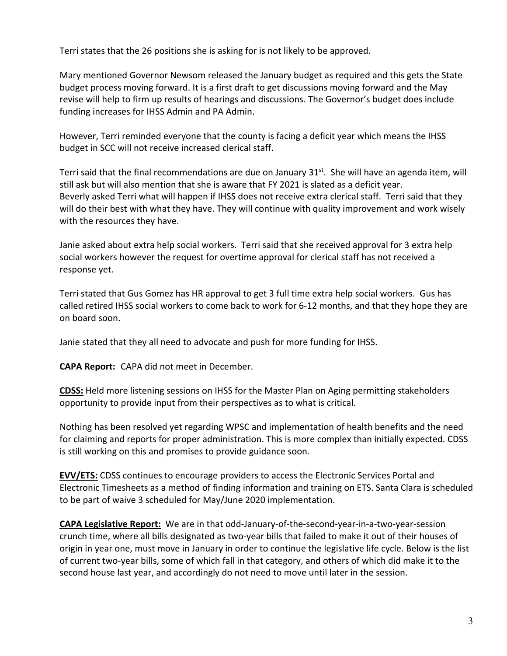Terri states that the 26 positions she is asking for is not likely to be approved.

Mary mentioned Governor Newsom released the January budget as required and this gets the State budget process moving forward. It is a first draft to get discussions moving forward and the May revise will help to firm up results of hearings and discussions. The Governor's budget does include funding increases for IHSS Admin and PA Admin.

However, Terri reminded everyone that the county is facing a deficit year which means the IHSS budget in SCC will not receive increased clerical staff.

Terri said that the final recommendations are due on January  $31<sup>st</sup>$ . She will have an agenda item, will still ask but will also mention that she is aware that FY 2021 is slated as a deficit year. Beverly asked Terri what will happen if IHSS does not receive extra clerical staff. Terri said that they will do their best with what they have. They will continue with quality improvement and work wisely with the resources they have.

Janie asked about extra help social workers. Terri said that she received approval for 3 extra help social workers however the request for overtime approval for clerical staff has not received a response yet.

Terri stated that Gus Gomez has HR approval to get 3 full time extra help social workers. Gus has called retired IHSS social workers to come back to work for 6‐12 months, and that they hope they are on board soon.

Janie stated that they all need to advocate and push for more funding for IHSS.

**CAPA Report:** CAPA did not meet in December.

**CDSS:** Held more listening sessions on IHSS for the Master Plan on Aging permitting stakeholders opportunity to provide input from their perspectives as to what is critical.

Nothing has been resolved yet regarding WPSC and implementation of health benefits and the need for claiming and reports for proper administration. This is more complex than initially expected. CDSS is still working on this and promises to provide guidance soon.

**EVV/ETS:** CDSS continues to encourage providers to access the Electronic Services Portal and Electronic Timesheets as a method of finding information and training on ETS. Santa Clara is scheduled to be part of waive 3 scheduled for May/June 2020 implementation.

**CAPA Legislative Report:** We are in that odd‐January‐of‐the‐second‐year‐in‐a‐two‐year‐session crunch time, where all bills designated as two‐year bills that failed to make it out of their houses of origin in year one, must move in January in order to continue the legislative life cycle. Below is the list of current two‐year bills, some of which fall in that category, and others of which did make it to the second house last year, and accordingly do not need to move until later in the session.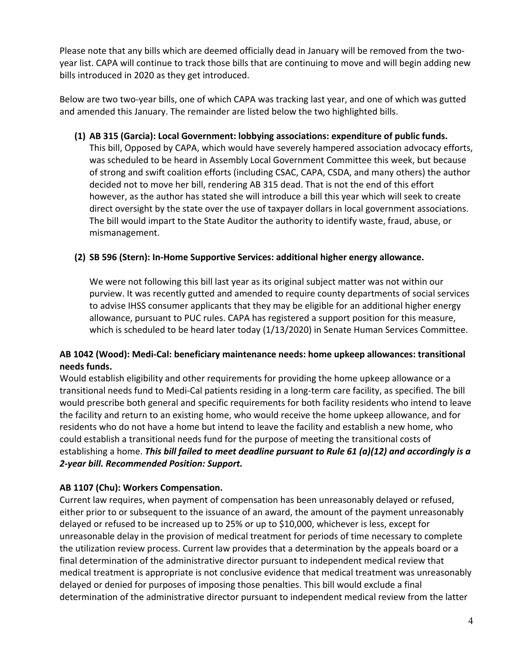Please note that any bills which are deemed officially dead in January will be removed from the twoyear list. CAPA will continue to track those bills that are continuing to move and will begin adding new bills introduced in 2020 as they get introduced.

Below are two two-year bills, one of which CAPA was tracking last year, and one of which was gutted and amended this January. The remainder are listed below the two highlighted bills.

**(1) AB 315 (Garcia): Local Government: lobbying associations: expenditure of public funds.** 

This bill, Opposed by CAPA, which would have severely hampered association advocacy efforts, was scheduled to be heard in Assembly Local Government Committee this week, but because of strong and swift coalition efforts (including CSAC, CAPA, CSDA, and many others) the author decided not to move her bill, rendering AB 315 dead. That is not the end of this effort however, as the author has stated she will introduce a bill this year which will seek to create direct oversight by the state over the use of taxpayer dollars in local government associations. The bill would impart to the State Auditor the authority to identify waste, fraud, abuse, or mismanagement.

### **(2) SB 596 (Stern): In‐Home Supportive Services: additional higher energy allowance.**

We were not following this bill last year as its original subject matter was not within our purview. It was recently gutted and amended to require county departments of social services to advise IHSS consumer applicants that they may be eligible for an additional higher energy allowance, pursuant to PUC rules. CAPA has registered a support position for this measure, which is scheduled to be heard later today (1/13/2020) in Senate Human Services Committee.

### **AB 1042 (Wood): Medi‐Cal: beneficiary maintenance needs: home upkeep allowances: transitional needs funds.**

Would establish eligibility and other requirements for providing the home upkeep allowance or a transitional needs fund to Medi‐Cal patients residing in a long‐term care facility, as specified. The bill would prescribe both general and specific requirements for both facility residents who intend to leave the facility and return to an existing home, who would receive the home upkeep allowance, and for residents who do not have a home but intend to leave the facility and establish a new home, who could establish a transitional needs fund for the purpose of meeting the transitional costs of establishing a home. *This bill failed to meet deadline pursuant to Rule 61 (a)(12) and accordingly is a 2‐year bill. Recommended Position: Support.*

# **AB 1107 (Chu): Workers Compensation.**

Current law requires, when payment of compensation has been unreasonably delayed or refused, either prior to or subsequent to the issuance of an award, the amount of the payment unreasonably delayed or refused to be increased up to 25% or up to \$10,000, whichever is less, except for unreasonable delay in the provision of medical treatment for periods of time necessary to complete the utilization review process. Current law provides that a determination by the appeals board or a final determination of the administrative director pursuant to independent medical review that medical treatment is appropriate is not conclusive evidence that medical treatment was unreasonably delayed or denied for purposes of imposing those penalties. This bill would exclude a final determination of the administrative director pursuant to independent medical review from the latter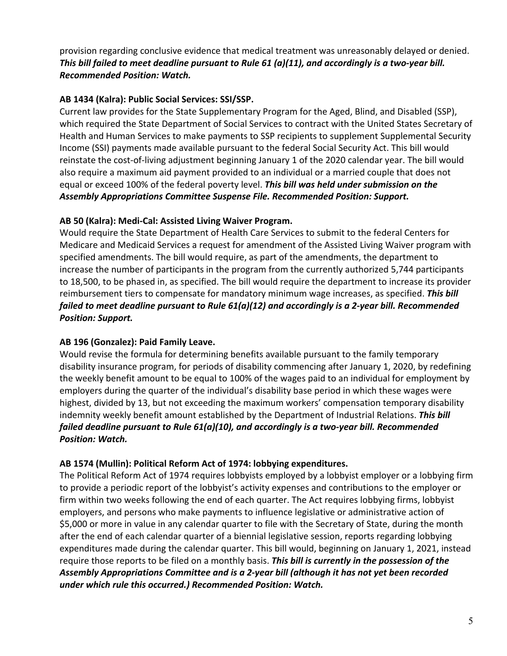provision regarding conclusive evidence that medical treatment was unreasonably delayed or denied. *This bill failed to meet deadline pursuant to Rule 61 (a)(11), and accordingly is a two‐year bill. Recommended Position: Watch.* 

### **AB 1434 (Kalra): Public Social Services: SSI/SSP.**

Current law provides for the State Supplementary Program for the Aged, Blind, and Disabled (SSP), which required the State Department of Social Services to contract with the United States Secretary of Health and Human Services to make payments to SSP recipients to supplement Supplemental Security Income (SSI) payments made available pursuant to the federal Social Security Act. This bill would reinstate the cost‐of‐living adjustment beginning January 1 of the 2020 calendar year. The bill would also require a maximum aid payment provided to an individual or a married couple that does not equal or exceed 100% of the federal poverty level. *This bill was held under submission on the Assembly Appropriations Committee Suspense File. Recommended Position: Support.*

### **AB 50 (Kalra): Medi‐Cal: Assisted Living Waiver Program.**

Would require the State Department of Health Care Services to submit to the federal Centers for Medicare and Medicaid Services a request for amendment of the Assisted Living Waiver program with specified amendments. The bill would require, as part of the amendments, the department to increase the number of participants in the program from the currently authorized 5,744 participants to 18,500, to be phased in, as specified. The bill would require the department to increase its provider reimbursement tiers to compensate for mandatory minimum wage increases, as specified. *This bill failed to meet deadline pursuant to Rule 61(a)(12) and accordingly is a 2‐year bill. Recommended Position: Support.* 

#### **AB 196 (Gonzalez): Paid Family Leave.**

Would revise the formula for determining benefits available pursuant to the family temporary disability insurance program, for periods of disability commencing after January 1, 2020, by redefining the weekly benefit amount to be equal to 100% of the wages paid to an individual for employment by employers during the quarter of the individual's disability base period in which these wages were highest, divided by 13, but not exceeding the maximum workers' compensation temporary disability indemnity weekly benefit amount established by the Department of Industrial Relations. *This bill failed deadline pursuant to Rule 61(a)(10), and accordingly is a two‐year bill. Recommended Position: Watch.*

#### **AB 1574 (Mullin): Political Reform Act of 1974: lobbying expenditures.**

The Political Reform Act of 1974 requires lobbyists employed by a lobbyist employer or a lobbying firm to provide a periodic report of the lobbyist's activity expenses and contributions to the employer or firm within two weeks following the end of each quarter. The Act requires lobbying firms, lobbyist employers, and persons who make payments to influence legislative or administrative action of \$5,000 or more in value in any calendar quarter to file with the Secretary of State, during the month after the end of each calendar quarter of a biennial legislative session, reports regarding lobbying expenditures made during the calendar quarter. This bill would, beginning on January 1, 2021, instead require those reports to be filed on a monthly basis. *This bill is currently in the possession of the Assembly Appropriations Committee and is a 2‐year bill (although it has not yet been recorded under which rule this occurred.) Recommended Position: Watch.*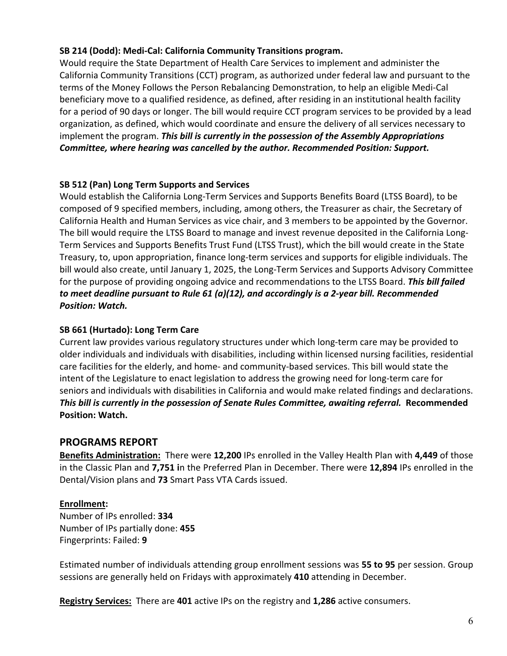# **SB 214 (Dodd): Medi‐Cal: California Community Transitions program.**

Would require the State Department of Health Care Services to implement and administer the California Community Transitions (CCT) program, as authorized under federal law and pursuant to the terms of the Money Follows the Person Rebalancing Demonstration, to help an eligible Medi‐Cal beneficiary move to a qualified residence, as defined, after residing in an institutional health facility for a period of 90 days or longer. The bill would require CCT program services to be provided by a lead organization, as defined, which would coordinate and ensure the delivery of all services necessary to implement the program. *This bill is currently in the possession of the Assembly Appropriations Committee, where hearing was cancelled by the author. Recommended Position: Support.*

# **SB 512 (Pan) Long Term Supports and Services**

Would establish the California Long‐Term Services and Supports Benefits Board (LTSS Board), to be composed of 9 specified members, including, among others, the Treasurer as chair, the Secretary of California Health and Human Services as vice chair, and 3 members to be appointed by the Governor. The bill would require the LTSS Board to manage and invest revenue deposited in the California Long‐ Term Services and Supports Benefits Trust Fund (LTSS Trust), which the bill would create in the State Treasury, to, upon appropriation, finance long‐term services and supports for eligible individuals. The bill would also create, until January 1, 2025, the Long‐Term Services and Supports Advisory Committee for the purpose of providing ongoing advice and recommendations to the LTSS Board. *This bill failed to meet deadline pursuant to Rule 61 (a)(12), and accordingly is a 2‐year bill. Recommended Position: Watch.* 

### **SB 661 (Hurtado): Long Term Care**

Current law provides various regulatory structures under which long‐term care may be provided to older individuals and individuals with disabilities, including within licensed nursing facilities, residential care facilities for the elderly, and home‐ and community‐based services. This bill would state the intent of the Legislature to enact legislation to address the growing need for long-term care for seniors and individuals with disabilities in California and would make related findings and declarations. *This bill is currently in the possession of Senate Rules Committee, awaiting referral.* **Recommended Position: Watch.** 

# **PROGRAMS REPORT**

**Benefits Administration:** There were **12,200** IPs enrolled in the Valley Health Plan with **4,449** of those in the Classic Plan and **7,751 i**n the Preferred Plan in December. There were **12,894** IPs enrolled in the Dental/Vision plans and **73** Smart Pass VTA Cards issued.

# **Enrollment:**

Number of IPs enrolled: **334**  Number of IPs partially done: **455** Fingerprints: Failed: **9**

Estimated number of individuals attending group enrollment sessions was **55 to 95** per session. Group sessions are generally held on Fridays with approximately **410** attending in December.

**Registry Services:** There are **401** active IPs on the registry and **1,286** active consumers.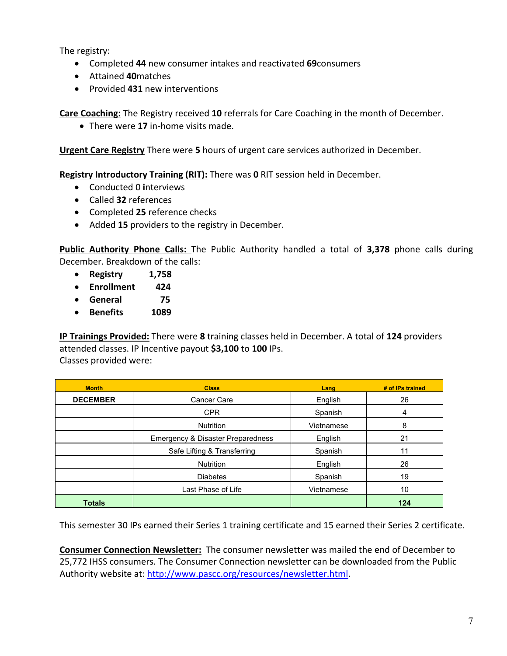The registry:

- Completed **44** new consumer intakes and reactivated **69**consumers
- Attained **40**matches
- Provided **431** new interventions

**Care Coaching:** The Registry received **10** referrals for Care Coaching in the month of December.

There were **17** in‐home visits made.

**Urgent Care Registry** There were **5** hours of urgent care services authorized in December.

**Registry Introductory Training (RIT):** There was **0** RIT session held in December.

- Conducted 0 **i**nterviews
- Called **32** references
- Completed **25** reference checks
- Added **15** providers to the registry in December.

Public Authority Phone Calls: The Public Authority handled a total of 3,378 phone calls during December. Breakdown of the calls:

- **Registry 1,758**
- **Enrollment 424**
- **General 75**
- **Benefits 1089**

**IP Trainings Provided:** There were **8** training classes held in December. A total of **124** providers attended classes. IP Incentive payout **\$3,100** to **100** IPs. Classes provided were:

| <b>Month</b>    | <b>Class</b>                      | Lang       | # of IPs trained |
|-----------------|-----------------------------------|------------|------------------|
| <b>DECEMBER</b> | Cancer Care                       | English    | 26               |
|                 | <b>CPR</b>                        | Spanish    | 4                |
|                 | <b>Nutrition</b>                  | Vietnamese | 8                |
|                 | Emergency & Disaster Preparedness | English    | 21               |
|                 | Safe Lifting & Transferring       | Spanish    | 11               |
|                 | <b>Nutrition</b>                  | English    | 26               |
|                 | <b>Diabetes</b>                   | Spanish    | 19               |
|                 | Last Phase of Life                | Vietnamese | 10               |
| <b>Totals</b>   |                                   |            | 124              |

This semester 30 IPs earned their Series 1 training certificate and 15 earned their Series 2 certificate.

**Consumer Connection Newsletter:** The consumer newsletter was mailed the end of December to 25,772 IHSS consumers. The Consumer Connection newsletter can be downloaded from the Public Authority website at: http://www.pascc.org/resources/newsletter.html.